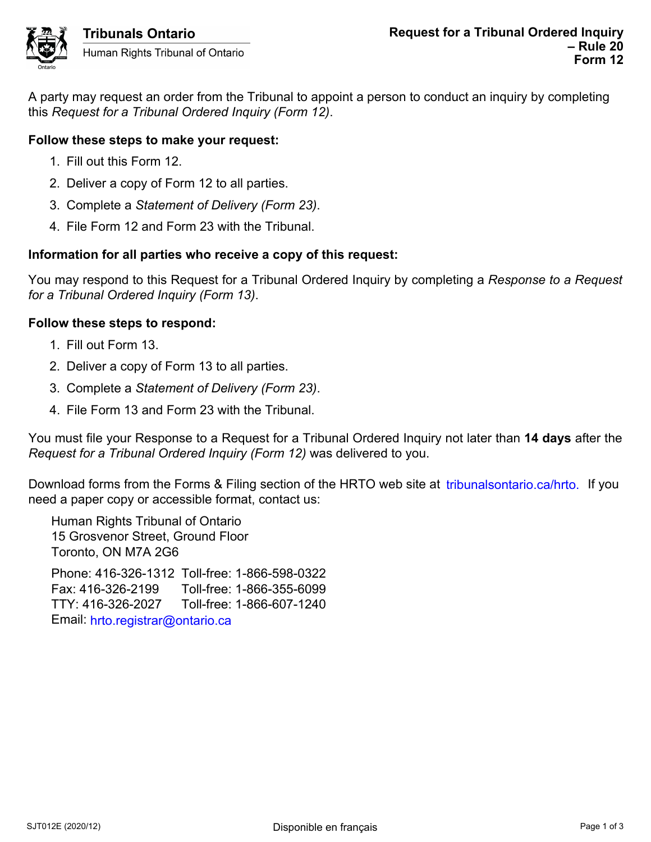A party may request an order from the Tribunal to appoint a person to conduct an inquiry by completing this *Request for a Tribunal Ordered Inquiry (Form 12)*.

# **Follow these steps to make your request:**

- 1. Fill out this Form 12.
- 2. Deliver a copy of Form 12 to all parties.
- 3. Complete a *Statement of Delivery (Form 23)*.
- 4. File Form 12 and Form 23 with the Tribunal.

## **Information for all parties who receive a copy of this request:**

You may respond to this Request for a Tribunal Ordered Inquiry by completing a *Response to a Request for a Tribunal Ordered Inquiry (Form 13)*.

## **Follow these steps to respond:**

- 1. Fill out Form 13.
- 2. Deliver a copy of Form 13 to all parties.
- 3. Complete a *Statement of Delivery (Form 23)*.
- 4. File Form 13 and Form 23 with the Tribunal.

You must file your Response to a Request for a Tribunal Ordered Inquiry not later than **14 days** after the *Request for a Tribunal Ordered Inquiry (Form 12)* was delivered to you.

Download forms from the Forms & Filing section of the HRTO web site at *tribunalsontario.ca/hrto.* If you need a paper copy or accessible format, contact us:

Human Rights Tribunal of Ontario 15 Grosvenor Street, Ground Floor Toronto, ON M7A 2G6 Phone: 416-326-1312 Toll-free: 1-866-598-0322 Fax: 416-326-2199 Toll-free: 1-866-355-6099 TTY: 416-326-2027 Toll-free: 1-866-607-1240 forms from the Forms & Filling section of the HRTO web site at tribunalsontario.ca/hrto. If you<br>ere copy or accessible format, contact us:<br>Rights Tribunal of Ontario<br>svenor Street, Ground Floor<br>0, ON M7A 2G6<br>1416-326-2199

Email: hrto.registrar@ontario.ca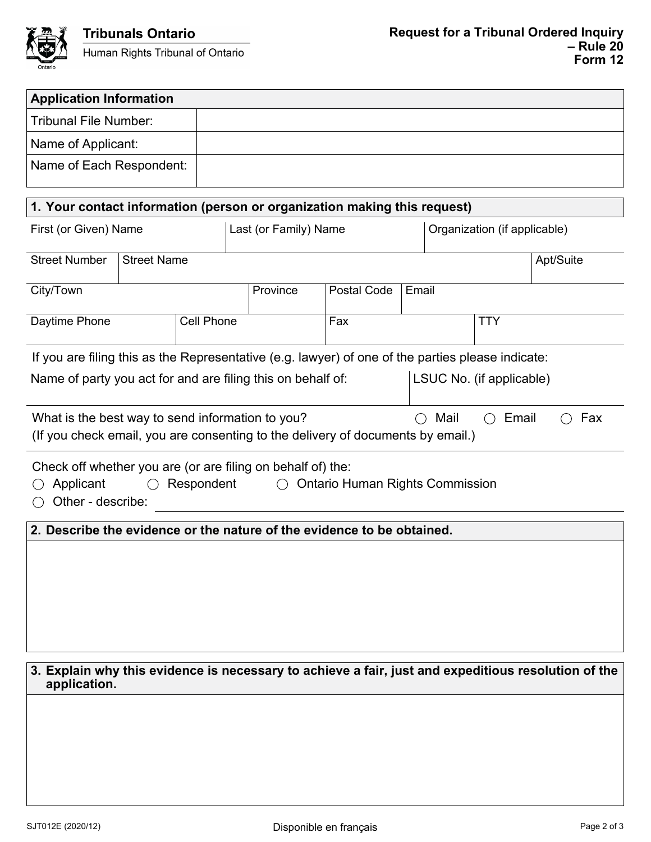

| <b>Application Information</b>                                                                                                                                                   |                                                             |                       |          |             |                          |                              |            |           |  |
|----------------------------------------------------------------------------------------------------------------------------------------------------------------------------------|-------------------------------------------------------------|-----------------------|----------|-------------|--------------------------|------------------------------|------------|-----------|--|
| <b>Tribunal File Number:</b>                                                                                                                                                     |                                                             |                       |          |             |                          |                              |            |           |  |
| Name of Applicant:                                                                                                                                                               |                                                             |                       |          |             |                          |                              |            |           |  |
| Name of Each Respondent:                                                                                                                                                         |                                                             |                       |          |             |                          |                              |            |           |  |
|                                                                                                                                                                                  |                                                             |                       |          |             |                          |                              |            |           |  |
| 1. Your contact information (person or organization making this request)                                                                                                         |                                                             |                       |          |             |                          |                              |            |           |  |
| First (or Given) Name                                                                                                                                                            |                                                             | Last (or Family) Name |          |             |                          | Organization (if applicable) |            |           |  |
| <b>Street Number</b>                                                                                                                                                             | <b>Street Name</b>                                          |                       |          |             |                          |                              |            | Apt/Suite |  |
| City/Town                                                                                                                                                                        |                                                             |                       | Province | Postal Code | Email                    |                              |            |           |  |
| Daytime Phone                                                                                                                                                                    |                                                             | Cell Phone            |          | Fax         |                          |                              | <b>TTY</b> |           |  |
| If you are filing this as the Representative (e.g. lawyer) of one of the parties please indicate:                                                                                |                                                             |                       |          |             |                          |                              |            |           |  |
|                                                                                                                                                                                  | Name of party you act for and are filing this on behalf of: |                       |          |             | LSUC No. (if applicable) |                              |            |           |  |
| What is the best way to send information to you?<br>Mail<br>Email<br>Fax<br>$($ )<br>(If you check email, you are consenting to the delivery of documents by email.)             |                                                             |                       |          |             |                          |                              |            |           |  |
| Check off whether you are (or are filing on behalf of) the:<br>Applicant<br>Respondent<br>$\bigcap$<br><b>Ontario Human Rights Commission</b><br>$\bigcirc$<br>Other - describe: |                                                             |                       |          |             |                          |                              |            |           |  |
| 2. Describe the evidence or the nature of the evidence to be obtained.                                                                                                           |                                                             |                       |          |             |                          |                              |            |           |  |
|                                                                                                                                                                                  |                                                             |                       |          |             |                          |                              |            |           |  |
|                                                                                                                                                                                  |                                                             |                       |          |             |                          |                              |            |           |  |
|                                                                                                                                                                                  |                                                             |                       |          |             |                          |                              |            |           |  |
|                                                                                                                                                                                  |                                                             |                       |          |             |                          |                              |            |           |  |
| 3. Explain why this evidence is necessary to achieve a fair, just and expeditious resolution of the<br>application.                                                              |                                                             |                       |          |             |                          |                              |            |           |  |
|                                                                                                                                                                                  |                                                             |                       |          |             |                          |                              |            |           |  |
|                                                                                                                                                                                  |                                                             |                       |          |             |                          |                              |            |           |  |
|                                                                                                                                                                                  |                                                             |                       |          |             |                          |                              |            |           |  |
|                                                                                                                                                                                  |                                                             |                       |          |             |                          |                              |            |           |  |